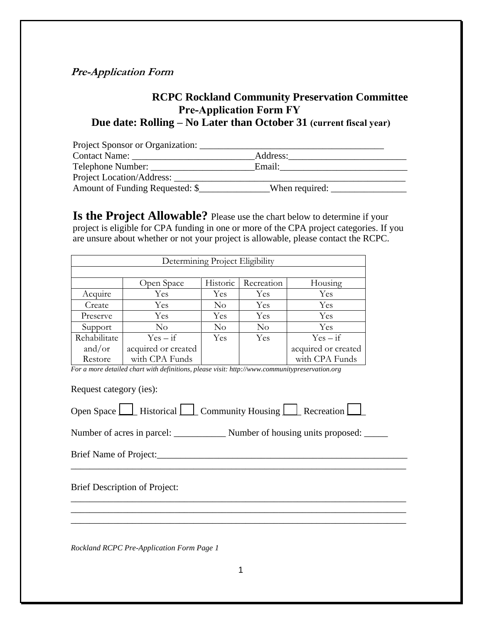## **Pre-Application Form**

## **RCPC Rockland Community Preservation Committee Pre-Application Form FY Due date: Rolling – No Later than October 31 (current fiscal year)**

| Project Sponsor or Organization: |                |  |
|----------------------------------|----------------|--|
| <b>Contact Name:</b>             | Address:       |  |
| Telephone Number:                | Email:         |  |
| Project Location/Address:        |                |  |
| Amount of Funding Requested: \$  | When required: |  |

**Is the Project Allowable?** Please use the chart below to determine if your project is eligible for CPA funding in one or more of the CPA project categories. If you are unsure about whether or not your project is allowable, please contact the RCPC.

| Determining Project Eligibility |                     |          |            |                     |  |
|---------------------------------|---------------------|----------|------------|---------------------|--|
|                                 |                     |          |            |                     |  |
|                                 | Open Space          | Historic | Recreation | Housing             |  |
| Acquire                         | Yes                 | Yes      | <b>Yes</b> | Yes                 |  |
| Create                          | Yes                 | No       | Yes        | Yes                 |  |
| Preserve                        | Yes                 | Yes      | Yes        | Yes                 |  |
| Support                         | $\rm No$            | $\rm No$ | $\rm No$   | Yes                 |  |
| Rehabilitate                    | $Yes - if$          | Yes      | <b>Yes</b> | $Yes - if$          |  |
| and/or                          | acquired or created |          |            | acquired or created |  |
| Restore                         | with CPA Funds      |          |            | with CPA Funds      |  |

*For a more detailed chart with definitions, please visit: http://www.communitypreservation.org* 

Request category (ies):

| Open Space L | Historical | Community Housing |  | Recreation I |  |
|--------------|------------|-------------------|--|--------------|--|
|--------------|------------|-------------------|--|--------------|--|

Number of acres in parcel: \_\_\_\_\_\_\_\_\_\_\_\_\_\_\_ Number of housing units proposed: \_\_\_\_\_

\_\_\_\_\_\_\_\_\_\_\_\_\_\_\_\_\_\_\_\_\_\_\_\_\_\_\_\_\_\_\_\_\_\_\_\_\_\_\_\_\_\_\_\_\_\_\_\_\_\_\_\_\_\_\_\_\_\_\_\_\_\_\_\_\_\_\_\_\_\_\_

\_\_\_\_\_\_\_\_\_\_\_\_\_\_\_\_\_\_\_\_\_\_\_\_\_\_\_\_\_\_\_\_\_\_\_\_\_\_\_\_\_\_\_\_\_\_\_\_\_\_\_\_\_\_\_\_\_\_\_\_\_\_\_\_\_\_\_\_\_\_\_ \_\_\_\_\_\_\_\_\_\_\_\_\_\_\_\_\_\_\_\_\_\_\_\_\_\_\_\_\_\_\_\_\_\_\_\_\_\_\_\_\_\_\_\_\_\_\_\_\_\_\_\_\_\_\_\_\_\_\_\_\_\_\_\_\_\_\_\_\_\_\_ \_\_\_\_\_\_\_\_\_\_\_\_\_\_\_\_\_\_\_\_\_\_\_\_\_\_\_\_\_\_\_\_\_\_\_\_\_\_\_\_\_\_\_\_\_\_\_\_\_\_\_\_\_\_\_\_\_\_\_\_\_\_\_\_\_\_\_\_\_\_\_

Brief Name of Project:\_\_\_\_\_\_\_\_\_\_\_\_\_\_\_\_\_\_\_\_\_\_\_\_\_\_\_\_\_\_\_\_\_\_\_\_\_\_\_\_\_\_\_\_\_\_\_\_\_\_\_\_\_

Brief Description of Project:

*Rockland RCPC Pre-Application Form Page 1*